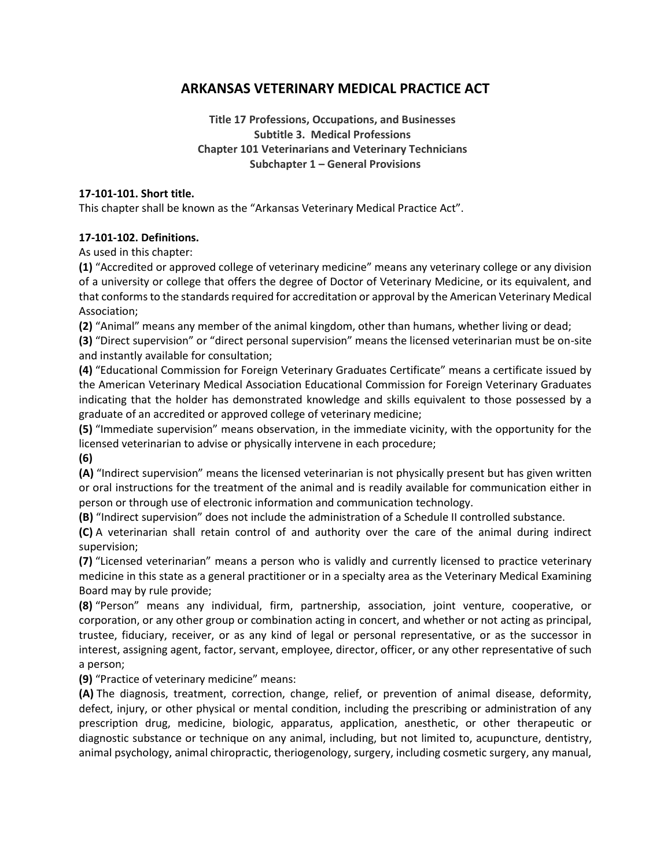# **ARKANSAS VETERINARY MEDICAL PRACTICE ACT**

**Title 17 Professions, Occupations, and Businesses Subtitle 3. Medical Professions Chapter 101 Veterinarians and Veterinary Technicians Subchapter 1 – General Provisions**

#### **17-101-101. Short title.**

This chapter shall be known as the "Arkansas Veterinary Medical Practice Act".

#### **17-101-102. Definitions.**

As used in this chapter:

**(1)** "Accredited or approved college of veterinary medicine" means any veterinary college or any division of a university or college that offers the degree of Doctor of Veterinary Medicine, or its equivalent, and that conforms to the standards required for accreditation or approval by the American Veterinary Medical Association;

**(2)** "Animal" means any member of the animal kingdom, other than humans, whether living or dead;

**(3)** "Direct supervision" or "direct personal supervision" means the licensed veterinarian must be on-site and instantly available for consultation;

**(4)** "Educational Commission for Foreign Veterinary Graduates Certificate" means a certificate issued by the American Veterinary Medical Association Educational Commission for Foreign Veterinary Graduates indicating that the holder has demonstrated knowledge and skills equivalent to those possessed by a graduate of an accredited or approved college of veterinary medicine;

**(5)** "Immediate supervision" means observation, in the immediate vicinity, with the opportunity for the licensed veterinarian to advise or physically intervene in each procedure;

**(6)**

**(A)** "Indirect supervision" means the licensed veterinarian is not physically present but has given written or oral instructions for the treatment of the animal and is readily available for communication either in person or through use of electronic information and communication technology.

**(B)** "Indirect supervision" does not include the administration of a Schedule II controlled substance.

**(C)** A veterinarian shall retain control of and authority over the care of the animal during indirect supervision;

**(7)** "Licensed veterinarian" means a person who is validly and currently licensed to practice veterinary medicine in this state as a general practitioner or in a specialty area as the Veterinary Medical Examining Board may by rule provide;

**(8)** "Person" means any individual, firm, partnership, association, joint venture, cooperative, or corporation, or any other group or combination acting in concert, and whether or not acting as principal, trustee, fiduciary, receiver, or as any kind of legal or personal representative, or as the successor in interest, assigning agent, factor, servant, employee, director, officer, or any other representative of such a person;

**(9)** "Practice of veterinary medicine" means:

**(A)** The diagnosis, treatment, correction, change, relief, or prevention of animal disease, deformity, defect, injury, or other physical or mental condition, including the prescribing or administration of any prescription drug, medicine, biologic, apparatus, application, anesthetic, or other therapeutic or diagnostic substance or technique on any animal, including, but not limited to, acupuncture, dentistry, animal psychology, animal chiropractic, theriogenology, surgery, including cosmetic surgery, any manual,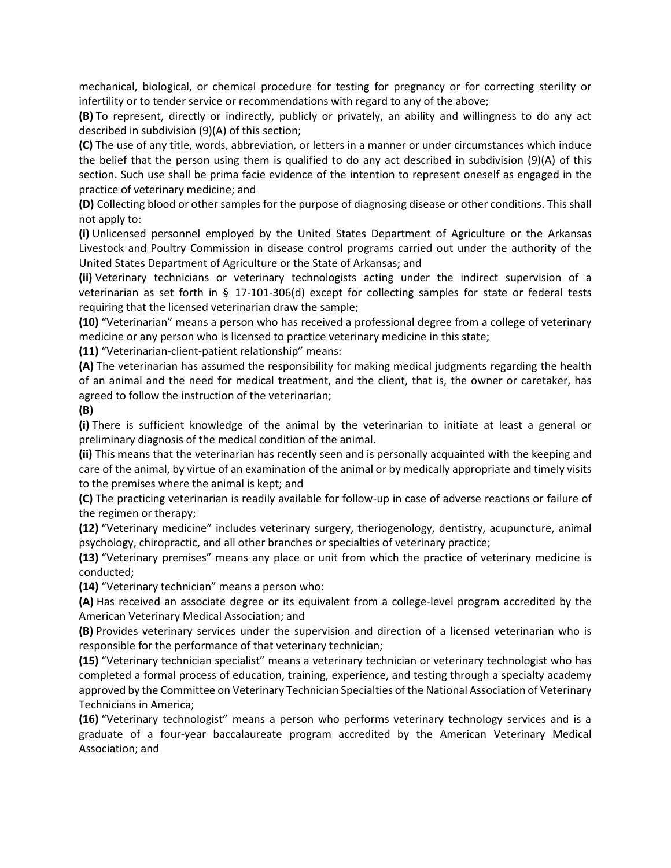mechanical, biological, or chemical procedure for testing for pregnancy or for correcting sterility or infertility or to tender service or recommendations with regard to any of the above;

**(B)** To represent, directly or indirectly, publicly or privately, an ability and willingness to do any act described in subdivision (9)(A) of this section;

**(C)** The use of any title, words, abbreviation, or letters in a manner or under circumstances which induce the belief that the person using them is qualified to do any act described in subdivision (9)(A) of this section. Such use shall be prima facie evidence of the intention to represent oneself as engaged in the practice of veterinary medicine; and

**(D)** Collecting blood or other samples for the purpose of diagnosing disease or other conditions. This shall not apply to:

**(i)** Unlicensed personnel employed by the United States Department of Agriculture or the Arkansas Livestock and Poultry Commission in disease control programs carried out under the authority of the United States Department of Agriculture or the State of Arkansas; and

**(ii)** Veterinary technicians or veterinary technologists acting under the indirect supervision of a veterinarian as set forth in § 17-101-306(d) except for collecting samples for state or federal tests requiring that the licensed veterinarian draw the sample;

**(10)** "Veterinarian" means a person who has received a professional degree from a college of veterinary medicine or any person who is licensed to practice veterinary medicine in this state;

**(11)** "Veterinarian-client-patient relationship" means:

**(A)** The veterinarian has assumed the responsibility for making medical judgments regarding the health of an animal and the need for medical treatment, and the client, that is, the owner or caretaker, has agreed to follow the instruction of the veterinarian;

#### **(B)**

**(i)** There is sufficient knowledge of the animal by the veterinarian to initiate at least a general or preliminary diagnosis of the medical condition of the animal.

**(ii)** This means that the veterinarian has recently seen and is personally acquainted with the keeping and care of the animal, by virtue of an examination of the animal or by medically appropriate and timely visits to the premises where the animal is kept; and

**(C)** The practicing veterinarian is readily available for follow-up in case of adverse reactions or failure of the regimen or therapy;

**(12)** "Veterinary medicine" includes veterinary surgery, theriogenology, dentistry, acupuncture, animal psychology, chiropractic, and all other branches or specialties of veterinary practice;

**(13)** "Veterinary premises" means any place or unit from which the practice of veterinary medicine is conducted;

**(14)** "Veterinary technician" means a person who:

**(A)** Has received an associate degree or its equivalent from a college-level program accredited by the American Veterinary Medical Association; and

**(B)** Provides veterinary services under the supervision and direction of a licensed veterinarian who is responsible for the performance of that veterinary technician;

**(15)** "Veterinary technician specialist" means a veterinary technician or veterinary technologist who has completed a formal process of education, training, experience, and testing through a specialty academy approved by the Committee on Veterinary Technician Specialties of the National Association of Veterinary Technicians in America;

**(16)** "Veterinary technologist" means a person who performs veterinary technology services and is a graduate of a four-year baccalaureate program accredited by the American Veterinary Medical Association; and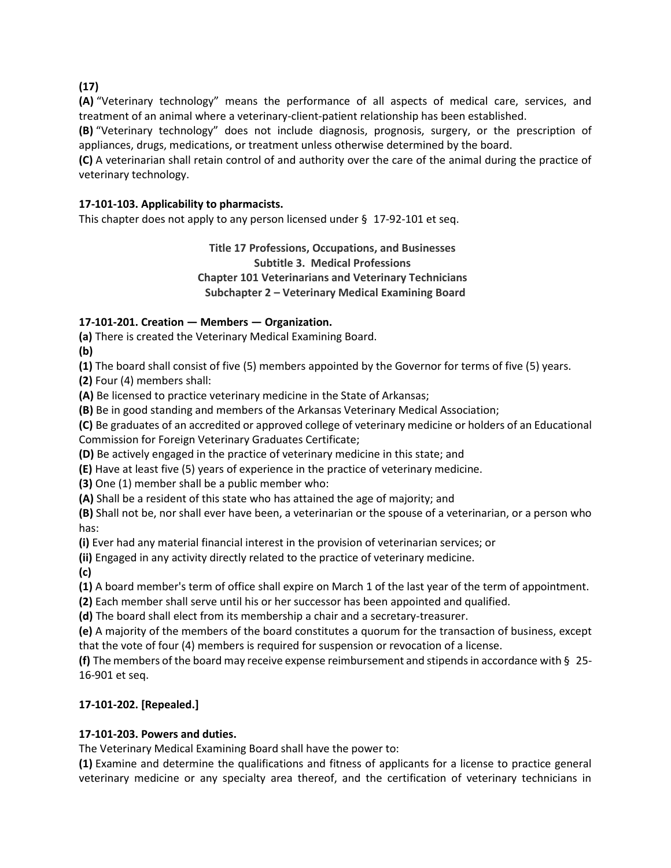**(17)**

**(A)** "Veterinary technology" means the performance of all aspects of medical care, services, and treatment of an animal where a veterinary-client-patient relationship has been established.

**(B)** "Veterinary technology" does not include diagnosis, prognosis, surgery, or the prescription of appliances, drugs, medications, or treatment unless otherwise determined by the board.

**(C)** A veterinarian shall retain control of and authority over the care of the animal during the practice of veterinary technology.

# **17-101-103. Applicability to pharmacists.**

This chapter does not apply to any person licensed under § 17-92-101 et seq.

**Title 17 Professions, Occupations, and Businesses Subtitle 3. Medical Professions Chapter 101 Veterinarians and Veterinary Technicians Subchapter 2 – Veterinary Medical Examining Board**

# **17-101-201. Creation — Members — Organization.**

**(a)** There is created the Veterinary Medical Examining Board.

**(b)**

**(1)** The board shall consist of five (5) members appointed by the Governor for terms of five (5) years.

**(2)** Four (4) members shall:

**(A)** Be licensed to practice veterinary medicine in the State of Arkansas;

**(B)** Be in good standing and members of the Arkansas Veterinary Medical Association;

**(C)** Be graduates of an accredited or approved college of veterinary medicine or holders of an Educational Commission for Foreign Veterinary Graduates Certificate;

**(D)** Be actively engaged in the practice of veterinary medicine in this state; and

**(E)** Have at least five (5) years of experience in the practice of veterinary medicine.

**(3)** One (1) member shall be a public member who:

**(A)** Shall be a resident of this state who has attained the age of majority; and

**(B)** Shall not be, nor shall ever have been, a veterinarian or the spouse of a veterinarian, or a person who has:

**(i)** Ever had any material financial interest in the provision of veterinarian services; or

**(ii)** Engaged in any activity directly related to the practice of veterinary medicine.

**(c)**

**(1)** A board member's term of office shall expire on March 1 of the last year of the term of appointment.

**(2)** Each member shall serve until his or her successor has been appointed and qualified.

**(d)** The board shall elect from its membership a chair and a secretary-treasurer.

**(e)** A majority of the members of the board constitutes a quorum for the transaction of business, except that the vote of four (4) members is required for suspension or revocation of a license.

**(f)** The members of the board may receive expense reimbursement and stipends in accordance with § 25- 16-901 et seq.

## **17-101-202. [Repealed.]**

## **17-101-203. Powers and duties.**

The Veterinary Medical Examining Board shall have the power to:

**(1)** Examine and determine the qualifications and fitness of applicants for a license to practice general veterinary medicine or any specialty area thereof, and the certification of veterinary technicians in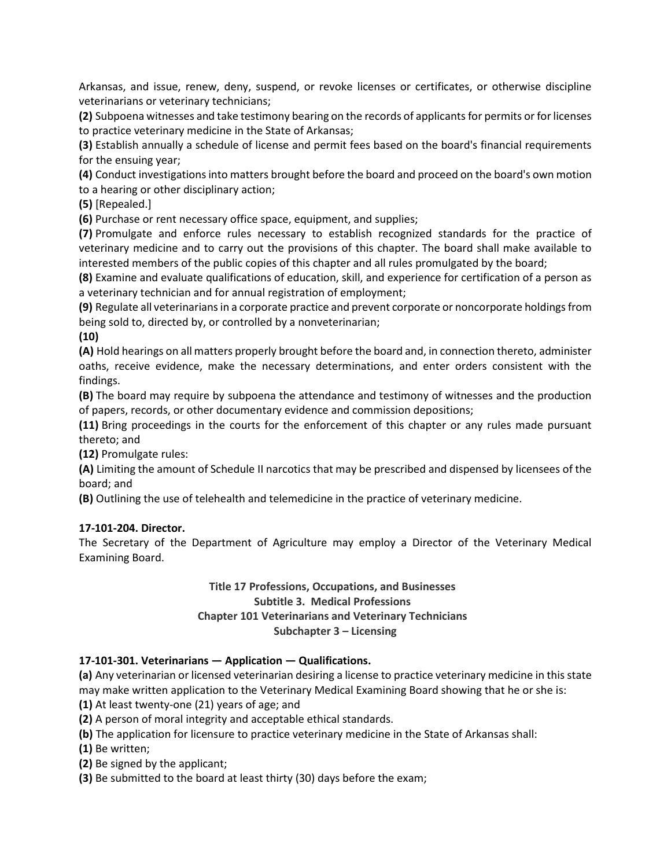Arkansas, and issue, renew, deny, suspend, or revoke licenses or certificates, or otherwise discipline veterinarians or veterinary technicians;

**(2)** Subpoena witnesses and take testimony bearing on the records of applicants for permits or for licenses to practice veterinary medicine in the State of Arkansas;

**(3)** Establish annually a schedule of license and permit fees based on the board's financial requirements for the ensuing year;

**(4)** Conduct investigations into matters brought before the board and proceed on the board's own motion to a hearing or other disciplinary action;

**(5)** [Repealed.]

**(6)** Purchase or rent necessary office space, equipment, and supplies;

**(7)** Promulgate and enforce rules necessary to establish recognized standards for the practice of veterinary medicine and to carry out the provisions of this chapter. The board shall make available to interested members of the public copies of this chapter and all rules promulgated by the board;

**(8)** Examine and evaluate qualifications of education, skill, and experience for certification of a person as a veterinary technician and for annual registration of employment;

**(9)** Regulate all veterinarians in a corporate practice and prevent corporate or noncorporate holdings from being sold to, directed by, or controlled by a nonveterinarian;

**(10)**

**(A)** Hold hearings on all matters properly brought before the board and, in connection thereto, administer oaths, receive evidence, make the necessary determinations, and enter orders consistent with the findings.

**(B)** The board may require by subpoena the attendance and testimony of witnesses and the production of papers, records, or other documentary evidence and commission depositions;

**(11)** Bring proceedings in the courts for the enforcement of this chapter or any rules made pursuant thereto; and

**(12)** Promulgate rules:

**(A)** Limiting the amount of Schedule II narcotics that may be prescribed and dispensed by licensees of the board; and

**(B)** Outlining the use of telehealth and telemedicine in the practice of veterinary medicine.

#### **17-101-204. Director.**

The Secretary of the Department of Agriculture may employ a Director of the Veterinary Medical Examining Board.

#### **Title 17 Professions, Occupations, and Businesses Subtitle 3. Medical Professions Chapter 101 Veterinarians and Veterinary Technicians Subchapter 3 – Licensing**

## **17-101-301. Veterinarians — Application — Qualifications.**

**(a)** Any veterinarian or licensed veterinarian desiring a license to practice veterinary medicine in this state may make written application to the Veterinary Medical Examining Board showing that he or she is:

**(1)** At least twenty-one (21) years of age; and

**(2)** A person of moral integrity and acceptable ethical standards.

**(b)** The application for licensure to practice veterinary medicine in the State of Arkansas shall:

**(1)** Be written;

**(2)** Be signed by the applicant;

**(3)** Be submitted to the board at least thirty (30) days before the exam;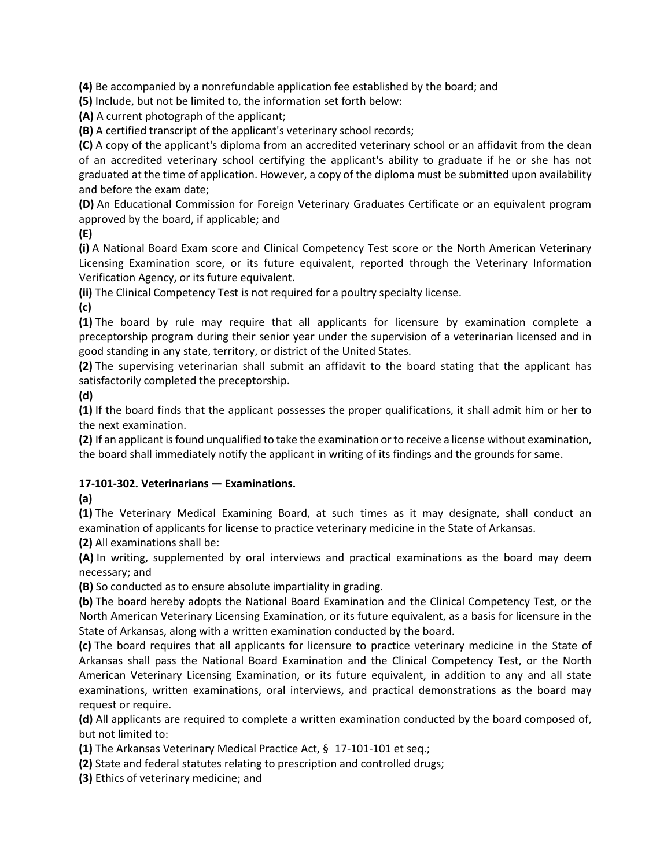**(4)** Be accompanied by a nonrefundable application fee established by the board; and

**(5)** Include, but not be limited to, the information set forth below:

**(A)** A current photograph of the applicant;

**(B)** A certified transcript of the applicant's veterinary school records;

**(C)** A copy of the applicant's diploma from an accredited veterinary school or an affidavit from the dean of an accredited veterinary school certifying the applicant's ability to graduate if he or she has not graduated at the time of application. However, a copy of the diploma must be submitted upon availability and before the exam date;

**(D)** An Educational Commission for Foreign Veterinary Graduates Certificate or an equivalent program approved by the board, if applicable; and

**(E)**

**(i)** A National Board Exam score and Clinical Competency Test score or the North American Veterinary Licensing Examination score, or its future equivalent, reported through the Veterinary Information Verification Agency, or its future equivalent.

**(ii)** The Clinical Competency Test is not required for a poultry specialty license.

**(c)**

**(1)** The board by rule may require that all applicants for licensure by examination complete a preceptorship program during their senior year under the supervision of a veterinarian licensed and in good standing in any state, territory, or district of the United States.

**(2)** The supervising veterinarian shall submit an affidavit to the board stating that the applicant has satisfactorily completed the preceptorship.

**(d)**

**(1)** If the board finds that the applicant possesses the proper qualifications, it shall admit him or her to the next examination.

**(2)** If an applicant is found unqualified to take the examination or to receive a license without examination, the board shall immediately notify the applicant in writing of its findings and the grounds for same.

# **17-101-302. Veterinarians — Examinations.**

**(a)**

**(1)** The Veterinary Medical Examining Board, at such times as it may designate, shall conduct an examination of applicants for license to practice veterinary medicine in the State of Arkansas.

**(2)** All examinations shall be:

**(A)** In writing, supplemented by oral interviews and practical examinations as the board may deem necessary; and

**(B)** So conducted as to ensure absolute impartiality in grading.

**(b)** The board hereby adopts the National Board Examination and the Clinical Competency Test, or the North American Veterinary Licensing Examination, or its future equivalent, as a basis for licensure in the State of Arkansas, along with a written examination conducted by the board.

**(c)** The board requires that all applicants for licensure to practice veterinary medicine in the State of Arkansas shall pass the National Board Examination and the Clinical Competency Test, or the North American Veterinary Licensing Examination, or its future equivalent, in addition to any and all state examinations, written examinations, oral interviews, and practical demonstrations as the board may request or require.

**(d)** All applicants are required to complete a written examination conducted by the board composed of, but not limited to:

**(1)** The Arkansas Veterinary Medical Practice Act, § 17-101-101 et seq.;

**(2)** State and federal statutes relating to prescription and controlled drugs;

**(3)** Ethics of veterinary medicine; and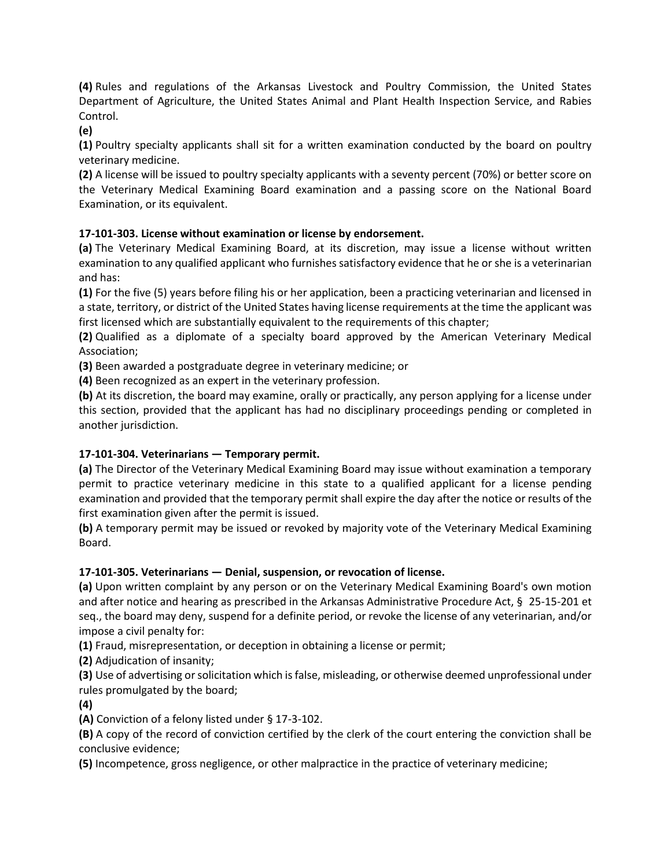**(4)** Rules and regulations of the Arkansas Livestock and Poultry Commission, the United States Department of Agriculture, the United States Animal and Plant Health Inspection Service, and Rabies Control.

**(e)**

**(1)** Poultry specialty applicants shall sit for a written examination conducted by the board on poultry veterinary medicine.

**(2)** A license will be issued to poultry specialty applicants with a seventy percent (70%) or better score on the Veterinary Medical Examining Board examination and a passing score on the National Board Examination, or its equivalent.

# **17-101-303. License without examination or license by endorsement.**

**(a)** The Veterinary Medical Examining Board, at its discretion, may issue a license without written examination to any qualified applicant who furnishes satisfactory evidence that he or she is a veterinarian and has:

**(1)** For the five (5) years before filing his or her application, been a practicing veterinarian and licensed in a state, territory, or district of the United States having license requirements at the time the applicant was first licensed which are substantially equivalent to the requirements of this chapter;

**(2)** Qualified as a diplomate of a specialty board approved by the American Veterinary Medical Association;

**(3)** Been awarded a postgraduate degree in veterinary medicine; or

**(4)** Been recognized as an expert in the veterinary profession.

**(b)** At its discretion, the board may examine, orally or practically, any person applying for a license under this section, provided that the applicant has had no disciplinary proceedings pending or completed in another jurisdiction.

# **17-101-304. Veterinarians — Temporary permit.**

**(a)** The Director of the Veterinary Medical Examining Board may issue without examination a temporary permit to practice veterinary medicine in this state to a qualified applicant for a license pending examination and provided that the temporary permit shall expire the day after the notice or results of the first examination given after the permit is issued.

**(b)** A temporary permit may be issued or revoked by majority vote of the Veterinary Medical Examining Board.

## **17-101-305. Veterinarians — Denial, suspension, or revocation of license.**

**(a)** Upon written complaint by any person or on the Veterinary Medical Examining Board's own motion and after notice and hearing as prescribed in the Arkansas Administrative Procedure Act, § 25-15-201 et seq., the board may deny, suspend for a definite period, or revoke the license of any veterinarian, and/or impose a civil penalty for:

**(1)** Fraud, misrepresentation, or deception in obtaining a license or permit;

**(2)** Adjudication of insanity;

**(3)** Use of advertising or solicitation which is false, misleading, or otherwise deemed unprofessional under rules promulgated by the board;

**(4)**

**(A)** Conviction of a felony listed under § 17-3-102.

**(B)** A copy of the record of conviction certified by the clerk of the court entering the conviction shall be conclusive evidence;

**(5)** Incompetence, gross negligence, or other malpractice in the practice of veterinary medicine;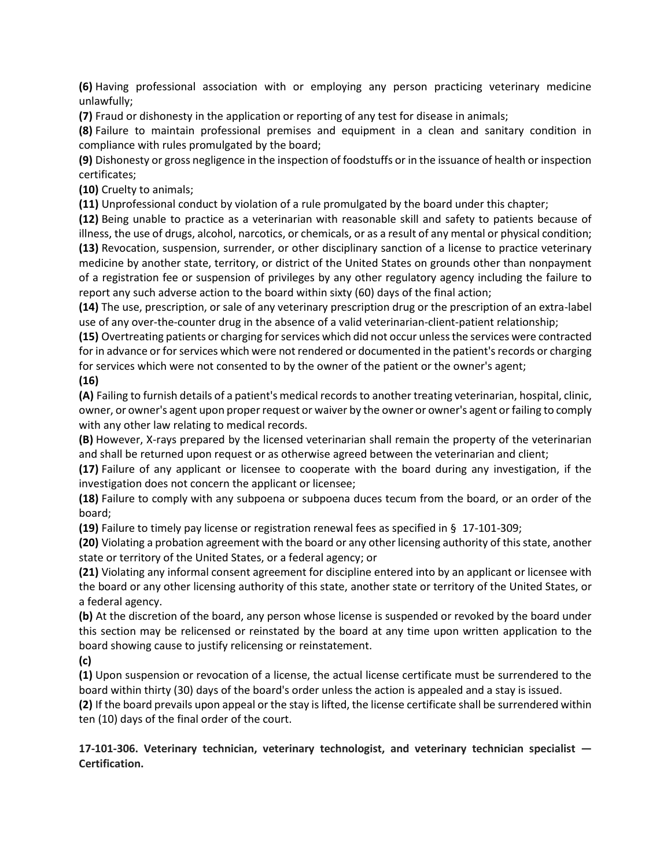**(6)** Having professional association with or employing any person practicing veterinary medicine unlawfully;

**(7)** Fraud or dishonesty in the application or reporting of any test for disease in animals;

**(8)** Failure to maintain professional premises and equipment in a clean and sanitary condition in compliance with rules promulgated by the board;

**(9)** Dishonesty or gross negligence in the inspection of foodstuffs or in the issuance of health or inspection certificates;

**(10)** Cruelty to animals;

**(11)** Unprofessional conduct by violation of a rule promulgated by the board under this chapter;

**(12)** Being unable to practice as a veterinarian with reasonable skill and safety to patients because of illness, the use of drugs, alcohol, narcotics, or chemicals, or as a result of any mental or physical condition; **(13)** Revocation, suspension, surrender, or other disciplinary sanction of a license to practice veterinary medicine by another state, territory, or district of the United States on grounds other than nonpayment of a registration fee or suspension of privileges by any other regulatory agency including the failure to report any such adverse action to the board within sixty (60) days of the final action;

**(14)** The use, prescription, or sale of any veterinary prescription drug or the prescription of an extra-label use of any over-the-counter drug in the absence of a valid veterinarian-client-patient relationship;

**(15)** Overtreating patients or charging for services which did not occur unless the services were contracted for in advance or for services which were not rendered or documented in the patient's records or charging for services which were not consented to by the owner of the patient or the owner's agent;

# **(16)**

**(A)** Failing to furnish details of a patient's medical records to another treating veterinarian, hospital, clinic, owner, or owner's agent upon proper request or waiver by the owner or owner's agent or failing to comply with any other law relating to medical records.

**(B)** However, X-rays prepared by the licensed veterinarian shall remain the property of the veterinarian and shall be returned upon request or as otherwise agreed between the veterinarian and client;

**(17)** Failure of any applicant or licensee to cooperate with the board during any investigation, if the investigation does not concern the applicant or licensee;

**(18)** Failure to comply with any subpoena or subpoena duces tecum from the board, or an order of the board;

**(19)** Failure to timely pay license or registration renewal fees as specified in § 17-101-309;

**(20)** Violating a probation agreement with the board or any other licensing authority of this state, another state or territory of the United States, or a federal agency; or

**(21)** Violating any informal consent agreement for discipline entered into by an applicant or licensee with the board or any other licensing authority of this state, another state or territory of the United States, or a federal agency.

**(b)** At the discretion of the board, any person whose license is suspended or revoked by the board under this section may be relicensed or reinstated by the board at any time upon written application to the board showing cause to justify relicensing or reinstatement.

**(c)**

**(1)** Upon suspension or revocation of a license, the actual license certificate must be surrendered to the board within thirty (30) days of the board's order unless the action is appealed and a stay is issued.

**(2)** If the board prevails upon appeal or the stay is lifted, the license certificate shall be surrendered within ten (10) days of the final order of the court.

**17-101-306. Veterinary technician, veterinary technologist, and veterinary technician specialist — Certification.**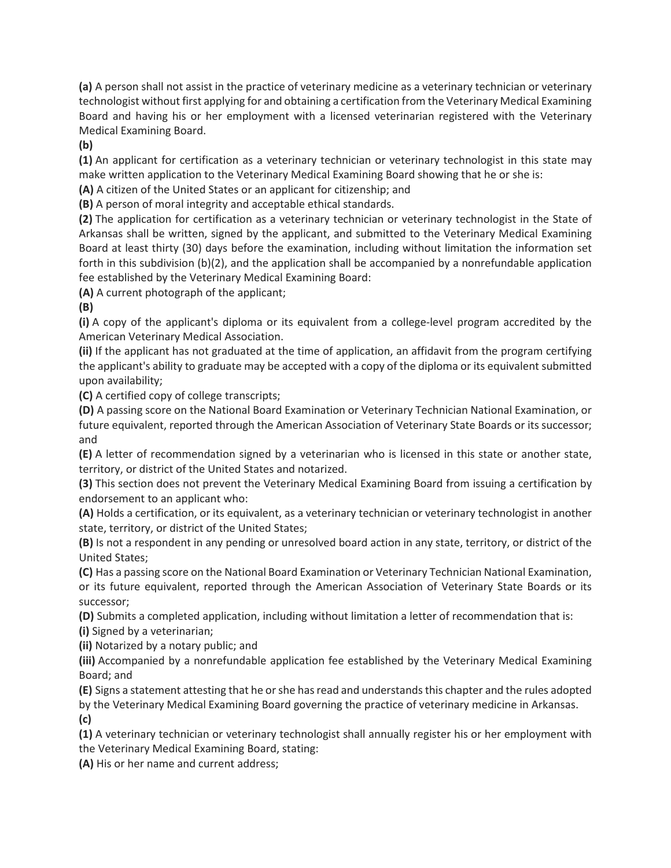**(a)** A person shall not assist in the practice of veterinary medicine as a veterinary technician or veterinary technologist without first applying for and obtaining a certification from the Veterinary Medical Examining Board and having his or her employment with a licensed veterinarian registered with the Veterinary Medical Examining Board.

**(b)**

**(1)** An applicant for certification as a veterinary technician or veterinary technologist in this state may make written application to the Veterinary Medical Examining Board showing that he or she is:

**(A)** A citizen of the United States or an applicant for citizenship; and

**(B)** A person of moral integrity and acceptable ethical standards.

**(2)** The application for certification as a veterinary technician or veterinary technologist in the State of Arkansas shall be written, signed by the applicant, and submitted to the Veterinary Medical Examining Board at least thirty (30) days before the examination, including without limitation the information set forth in this subdivision (b)(2), and the application shall be accompanied by a nonrefundable application fee established by the Veterinary Medical Examining Board:

**(A)** A current photograph of the applicant;

**(B)**

**(i)** A copy of the applicant's diploma or its equivalent from a college-level program accredited by the American Veterinary Medical Association.

**(ii)** If the applicant has not graduated at the time of application, an affidavit from the program certifying the applicant's ability to graduate may be accepted with a copy of the diploma or its equivalent submitted upon availability;

**(C)** A certified copy of college transcripts;

**(D)** A passing score on the National Board Examination or Veterinary Technician National Examination, or future equivalent, reported through the American Association of Veterinary State Boards or its successor; and

**(E)** A letter of recommendation signed by a veterinarian who is licensed in this state or another state, territory, or district of the United States and notarized.

**(3)** This section does not prevent the Veterinary Medical Examining Board from issuing a certification by endorsement to an applicant who:

**(A)** Holds a certification, or its equivalent, as a veterinary technician or veterinary technologist in another state, territory, or district of the United States;

**(B)** Is not a respondent in any pending or unresolved board action in any state, territory, or district of the United States;

**(C)** Has a passing score on the National Board Examination or Veterinary Technician National Examination, or its future equivalent, reported through the American Association of Veterinary State Boards or its successor;

**(D)** Submits a completed application, including without limitation a letter of recommendation that is:

**(i)** Signed by a veterinarian;

**(ii)** Notarized by a notary public; and

**(iii)** Accompanied by a nonrefundable application fee established by the Veterinary Medical Examining Board; and

**(E)** Signs a statement attesting that he orshe hasread and understandsthis chapter and the rules adopted by the Veterinary Medical Examining Board governing the practice of veterinary medicine in Arkansas. **(c)**

**(1)** A veterinary technician or veterinary technologist shall annually register his or her employment with the Veterinary Medical Examining Board, stating:

**(A)** His or her name and current address;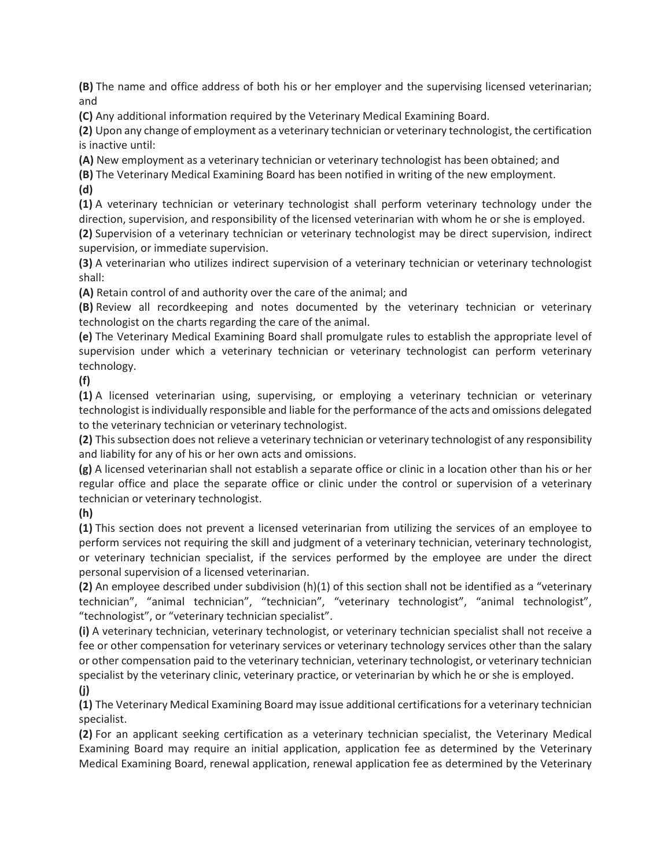**(B)** The name and office address of both his or her employer and the supervising licensed veterinarian; and

**(C)** Any additional information required by the Veterinary Medical Examining Board.

**(2)** Upon any change of employment as a veterinary technician or veterinary technologist, the certification is inactive until:

**(A)** New employment as a veterinary technician or veterinary technologist has been obtained; and

**(B)** The Veterinary Medical Examining Board has been notified in writing of the new employment.

**(d)**

**(1)** A veterinary technician or veterinary technologist shall perform veterinary technology under the direction, supervision, and responsibility of the licensed veterinarian with whom he or she is employed.

**(2)** Supervision of a veterinary technician or veterinary technologist may be direct supervision, indirect supervision, or immediate supervision.

**(3)** A veterinarian who utilizes indirect supervision of a veterinary technician or veterinary technologist shall:

**(A)** Retain control of and authority over the care of the animal; and

**(B)** Review all recordkeeping and notes documented by the veterinary technician or veterinary technologist on the charts regarding the care of the animal.

**(e)** The Veterinary Medical Examining Board shall promulgate rules to establish the appropriate level of supervision under which a veterinary technician or veterinary technologist can perform veterinary technology.

**(f)**

**(1)** A licensed veterinarian using, supervising, or employing a veterinary technician or veterinary technologist isindividually responsible and liable for the performance of the acts and omissions delegated to the veterinary technician or veterinary technologist.

**(2)** Thissubsection does not relieve a veterinary technician or veterinary technologist of any responsibility and liability for any of his or her own acts and omissions.

**(g)** A licensed veterinarian shall not establish a separate office or clinic in a location other than his or her regular office and place the separate office or clinic under the control or supervision of a veterinary technician or veterinary technologist.

**(h)**

**(1)** This section does not prevent a licensed veterinarian from utilizing the services of an employee to perform services not requiring the skill and judgment of a veterinary technician, veterinary technologist, or veterinary technician specialist, if the services performed by the employee are under the direct personal supervision of a licensed veterinarian.

**(2)** An employee described under subdivision (h)(1) of this section shall not be identified as a "veterinary technician", "animal technician", "technician", "veterinary technologist", "animal technologist", "technologist", or "veterinary technician specialist".

**(i)** A veterinary technician, veterinary technologist, or veterinary technician specialist shall not receive a fee or other compensation for veterinary services or veterinary technology services other than the salary or other compensation paid to the veterinary technician, veterinary technologist, or veterinary technician specialist by the veterinary clinic, veterinary practice, or veterinarian by which he or she is employed. **(j)**

**(1)** The Veterinary Medical Examining Board may issue additional certifications for a veterinary technician specialist.

**(2)** For an applicant seeking certification as a veterinary technician specialist, the Veterinary Medical Examining Board may require an initial application, application fee as determined by the Veterinary Medical Examining Board, renewal application, renewal application fee as determined by the Veterinary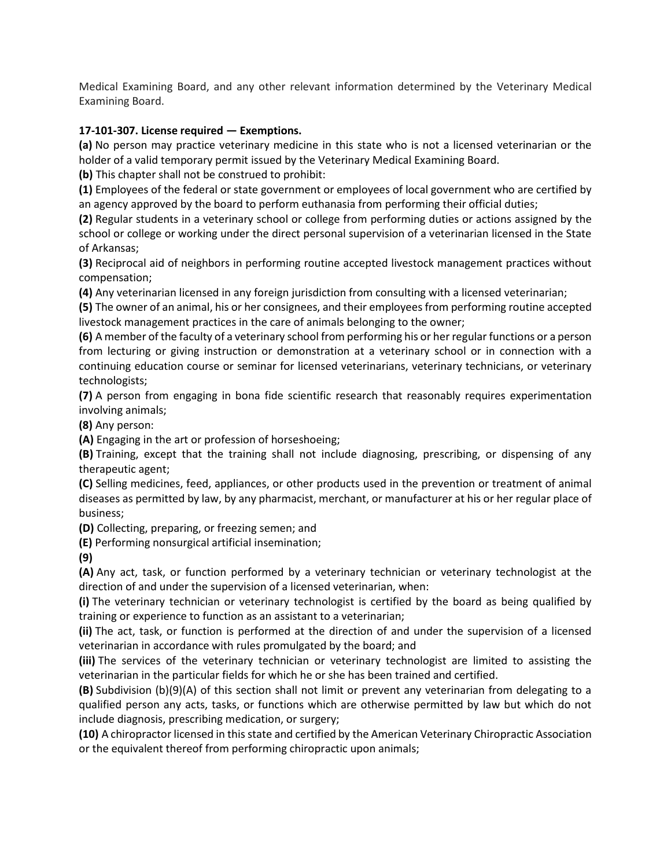Medical Examining Board, and any other relevant information determined by the Veterinary Medical Examining Board.

#### **17-101-307. License required — Exemptions.**

**(a)** No person may practice veterinary medicine in this state who is not a licensed veterinarian or the holder of a valid temporary permit issued by the Veterinary Medical Examining Board.

**(b)** This chapter shall not be construed to prohibit:

**(1)** Employees of the federal or state government or employees of local government who are certified by an agency approved by the board to perform euthanasia from performing their official duties;

**(2)** Regular students in a veterinary school or college from performing duties or actions assigned by the school or college or working under the direct personal supervision of a veterinarian licensed in the State of Arkansas;

**(3)** Reciprocal aid of neighbors in performing routine accepted livestock management practices without compensation;

**(4)** Any veterinarian licensed in any foreign jurisdiction from consulting with a licensed veterinarian;

**(5)** The owner of an animal, his or her consignees, and their employees from performing routine accepted livestock management practices in the care of animals belonging to the owner;

**(6)** A member of the faculty of a veterinary school from performing his or her regular functions or a person from lecturing or giving instruction or demonstration at a veterinary school or in connection with a continuing education course or seminar for licensed veterinarians, veterinary technicians, or veterinary technologists;

**(7)** A person from engaging in bona fide scientific research that reasonably requires experimentation involving animals;

**(8)** Any person:

**(A)** Engaging in the art or profession of horseshoeing;

**(B)** Training, except that the training shall not include diagnosing, prescribing, or dispensing of any therapeutic agent;

**(C)** Selling medicines, feed, appliances, or other products used in the prevention or treatment of animal diseases as permitted by law, by any pharmacist, merchant, or manufacturer at his or her regular place of business;

**(D)** Collecting, preparing, or freezing semen; and

**(E)** Performing nonsurgical artificial insemination;

**(9)**

**(A)** Any act, task, or function performed by a veterinary technician or veterinary technologist at the direction of and under the supervision of a licensed veterinarian, when:

**(i)** The veterinary technician or veterinary technologist is certified by the board as being qualified by training or experience to function as an assistant to a veterinarian;

**(ii)** The act, task, or function is performed at the direction of and under the supervision of a licensed veterinarian in accordance with rules promulgated by the board; and

**(iii)** The services of the veterinary technician or veterinary technologist are limited to assisting the veterinarian in the particular fields for which he or she has been trained and certified.

**(B)** Subdivision (b)(9)(A) of this section shall not limit or prevent any veterinarian from delegating to a qualified person any acts, tasks, or functions which are otherwise permitted by law but which do not include diagnosis, prescribing medication, or surgery;

**(10)** A chiropractor licensed in this state and certified by the American Veterinary Chiropractic Association or the equivalent thereof from performing chiropractic upon animals;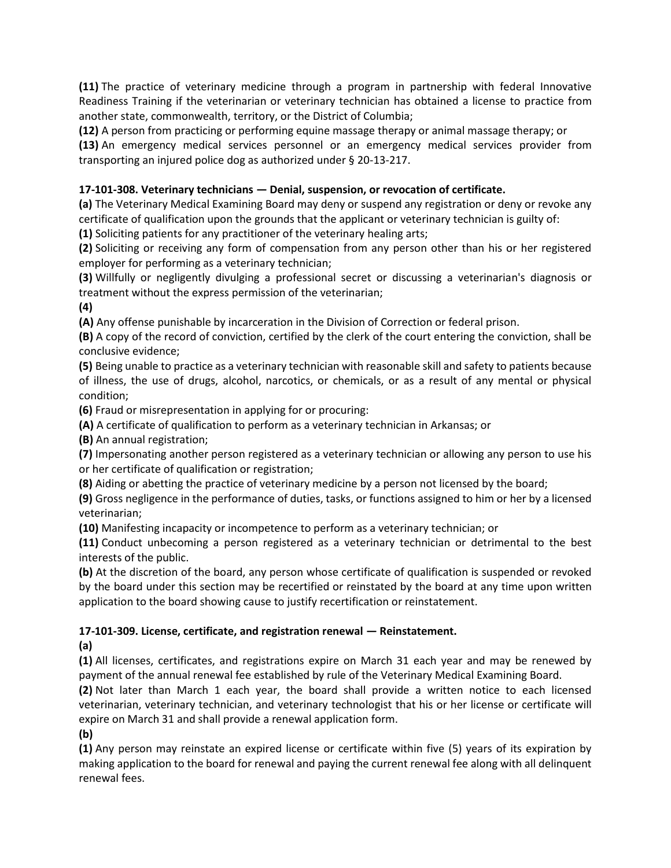**(11)** The practice of veterinary medicine through a program in partnership with federal Innovative Readiness Training if the veterinarian or veterinary technician has obtained a license to practice from another state, commonwealth, territory, or the District of Columbia;

**(12)** A person from practicing or performing equine massage therapy or animal massage therapy; or

**(13)** An emergency medical services personnel or an emergency medical services provider from transporting an injured police dog as authorized under § 20-13-217.

# **17-101-308. Veterinary technicians — Denial, suspension, or revocation of certificate.**

**(a)** The Veterinary Medical Examining Board may deny or suspend any registration or deny or revoke any certificate of qualification upon the grounds that the applicant or veterinary technician is guilty of:

**(1)** Soliciting patients for any practitioner of the veterinary healing arts;

**(2)** Soliciting or receiving any form of compensation from any person other than his or her registered employer for performing as a veterinary technician;

**(3)** Willfully or negligently divulging a professional secret or discussing a veterinarian's diagnosis or treatment without the express permission of the veterinarian;

**(4)**

**(A)** Any offense punishable by incarceration in the Division of Correction or federal prison.

**(B)** A copy of the record of conviction, certified by the clerk of the court entering the conviction, shall be conclusive evidence;

**(5)** Being unable to practice as a veterinary technician with reasonable skill and safety to patients because of illness, the use of drugs, alcohol, narcotics, or chemicals, or as a result of any mental or physical condition;

**(6)** Fraud or misrepresentation in applying for or procuring:

**(A)** A certificate of qualification to perform as a veterinary technician in Arkansas; or

**(B)** An annual registration;

**(7)** Impersonating another person registered as a veterinary technician or allowing any person to use his or her certificate of qualification or registration;

**(8)** Aiding or abetting the practice of veterinary medicine by a person not licensed by the board;

**(9)** Gross negligence in the performance of duties, tasks, or functions assigned to him or her by a licensed veterinarian;

**(10)** Manifesting incapacity or incompetence to perform as a veterinary technician; or

**(11)** Conduct unbecoming a person registered as a veterinary technician or detrimental to the best interests of the public.

**(b)** At the discretion of the board, any person whose certificate of qualification is suspended or revoked by the board under this section may be recertified or reinstated by the board at any time upon written application to the board showing cause to justify recertification or reinstatement.

# **17-101-309. License, certificate, and registration renewal — Reinstatement.**

**(a)**

**(1)** All licenses, certificates, and registrations expire on March 31 each year and may be renewed by payment of the annual renewal fee established by rule of the Veterinary Medical Examining Board.

**(2)** Not later than March 1 each year, the board shall provide a written notice to each licensed veterinarian, veterinary technician, and veterinary technologist that his or her license or certificate will expire on March 31 and shall provide a renewal application form.

**(b)**

**(1)** Any person may reinstate an expired license or certificate within five (5) years of its expiration by making application to the board for renewal and paying the current renewal fee along with all delinquent renewal fees.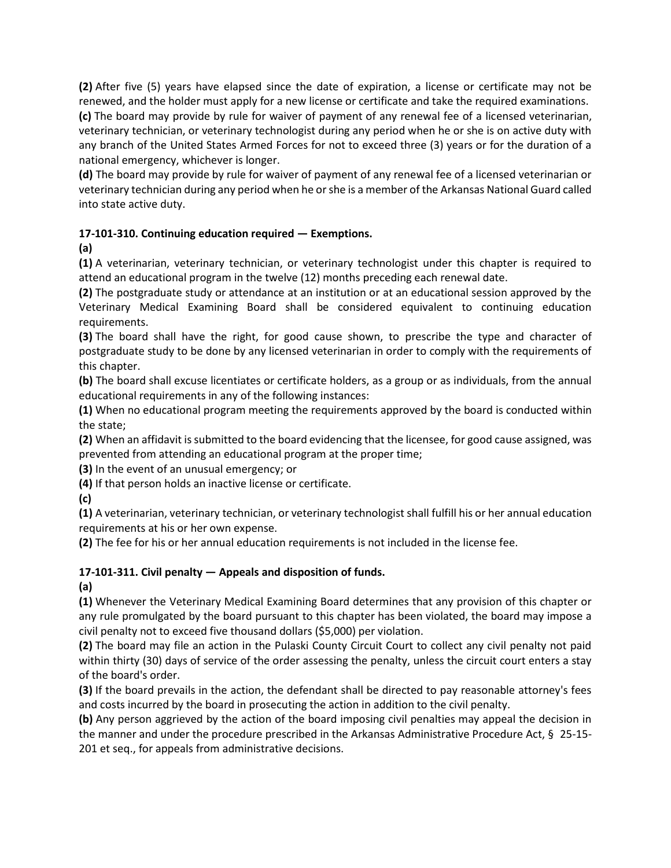**(2)** After five (5) years have elapsed since the date of expiration, a license or certificate may not be renewed, and the holder must apply for a new license or certificate and take the required examinations.

**(c)** The board may provide by rule for waiver of payment of any renewal fee of a licensed veterinarian, veterinary technician, or veterinary technologist during any period when he or she is on active duty with any branch of the United States Armed Forces for not to exceed three (3) years or for the duration of a national emergency, whichever is longer.

**(d)** The board may provide by rule for waiver of payment of any renewal fee of a licensed veterinarian or veterinary technician during any period when he or she is a member of the Arkansas National Guard called into state active duty.

## **17-101-310. Continuing education required — Exemptions.**

**(a)**

**(1)** A veterinarian, veterinary technician, or veterinary technologist under this chapter is required to attend an educational program in the twelve (12) months preceding each renewal date.

**(2)** The postgraduate study or attendance at an institution or at an educational session approved by the Veterinary Medical Examining Board shall be considered equivalent to continuing education requirements.

**(3)** The board shall have the right, for good cause shown, to prescribe the type and character of postgraduate study to be done by any licensed veterinarian in order to comply with the requirements of this chapter.

**(b)** The board shall excuse licentiates or certificate holders, as a group or as individuals, from the annual educational requirements in any of the following instances:

**(1)** When no educational program meeting the requirements approved by the board is conducted within the state;

**(2)** When an affidavit is submitted to the board evidencing that the licensee, for good cause assigned, was prevented from attending an educational program at the proper time;

**(3)** In the event of an unusual emergency; or

**(4)** If that person holds an inactive license or certificate.

**(c)**

**(1)** A veterinarian, veterinary technician, or veterinary technologist shall fulfill his or her annual education requirements at his or her own expense.

**(2)** The fee for his or her annual education requirements is not included in the license fee.

# **17-101-311. Civil penalty — Appeals and disposition of funds.**

**(a)**

**(1)** Whenever the Veterinary Medical Examining Board determines that any provision of this chapter or any rule promulgated by the board pursuant to this chapter has been violated, the board may impose a civil penalty not to exceed five thousand dollars (\$5,000) per violation.

**(2)** The board may file an action in the Pulaski County Circuit Court to collect any civil penalty not paid within thirty (30) days of service of the order assessing the penalty, unless the circuit court enters a stay of the board's order.

**(3)** If the board prevails in the action, the defendant shall be directed to pay reasonable attorney's fees and costs incurred by the board in prosecuting the action in addition to the civil penalty.

**(b)** Any person aggrieved by the action of the board imposing civil penalties may appeal the decision in the manner and under the procedure prescribed in the Arkansas Administrative Procedure Act, § 25-15- 201 et seq., for appeals from administrative decisions.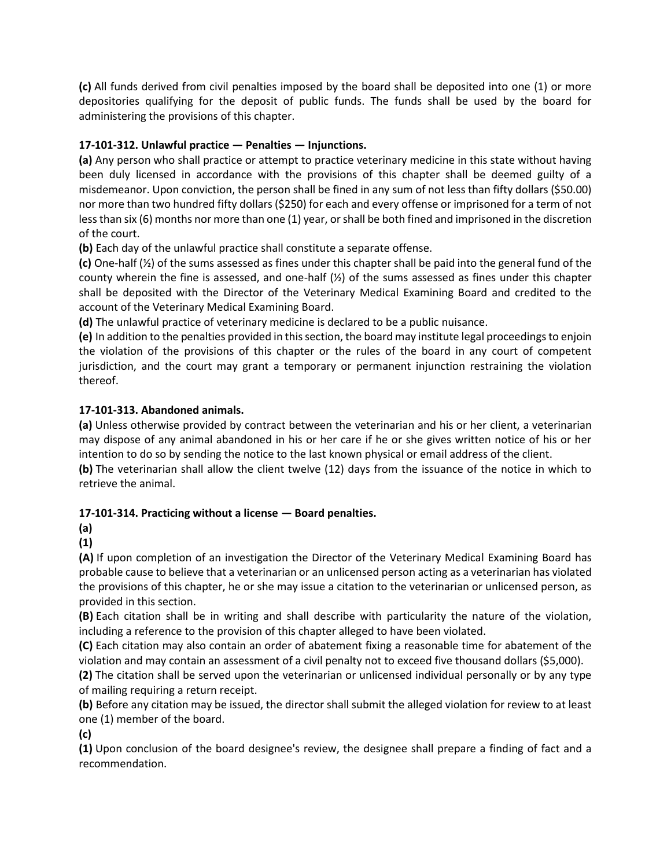**(c)** All funds derived from civil penalties imposed by the board shall be deposited into one (1) or more depositories qualifying for the deposit of public funds. The funds shall be used by the board for administering the provisions of this chapter.

# **17-101-312. Unlawful practice — Penalties — Injunctions.**

**(a)** Any person who shall practice or attempt to practice veterinary medicine in this state without having been duly licensed in accordance with the provisions of this chapter shall be deemed guilty of a misdemeanor. Upon conviction, the person shall be fined in any sum of not less than fifty dollars (\$50.00) nor more than two hundred fifty dollars (\$250) for each and every offense or imprisoned for a term of not less than six (6) months nor more than one (1) year, or shall be both fined and imprisoned in the discretion of the court.

**(b)** Each day of the unlawful practice shall constitute a separate offense.

**(c)** One-half (½) of the sums assessed as fines under this chapter shall be paid into the general fund of the county wherein the fine is assessed, and one-half  $(\frac{1}{2})$  of the sums assessed as fines under this chapter shall be deposited with the Director of the Veterinary Medical Examining Board and credited to the account of the Veterinary Medical Examining Board.

**(d)** The unlawful practice of veterinary medicine is declared to be a public nuisance.

**(e)** In addition to the penalties provided in this section, the board may institute legal proceedings to enjoin the violation of the provisions of this chapter or the rules of the board in any court of competent jurisdiction, and the court may grant a temporary or permanent injunction restraining the violation thereof.

## **17-101-313. Abandoned animals.**

**(a)** Unless otherwise provided by contract between the veterinarian and his or her client, a veterinarian may dispose of any animal abandoned in his or her care if he or she gives written notice of his or her intention to do so by sending the notice to the last known physical or email address of the client. **(b)** The veterinarian shall allow the client twelve (12) days from the issuance of the notice in which to

retrieve the animal.

## **17-101-314. Practicing without a license — Board penalties.**

**(a)**

**(1)**

**(A)** If upon completion of an investigation the Director of the Veterinary Medical Examining Board has probable cause to believe that a veterinarian or an unlicensed person acting as a veterinarian has violated the provisions of this chapter, he or she may issue a citation to the veterinarian or unlicensed person, as provided in this section.

**(B)** Each citation shall be in writing and shall describe with particularity the nature of the violation, including a reference to the provision of this chapter alleged to have been violated.

**(C)** Each citation may also contain an order of abatement fixing a reasonable time for abatement of the violation and may contain an assessment of a civil penalty not to exceed five thousand dollars (\$5,000).

**(2)** The citation shall be served upon the veterinarian or unlicensed individual personally or by any type of mailing requiring a return receipt.

**(b)** Before any citation may be issued, the director shall submit the alleged violation for review to at least one (1) member of the board.

**(c)**

**(1)** Upon conclusion of the board designee's review, the designee shall prepare a finding of fact and a recommendation.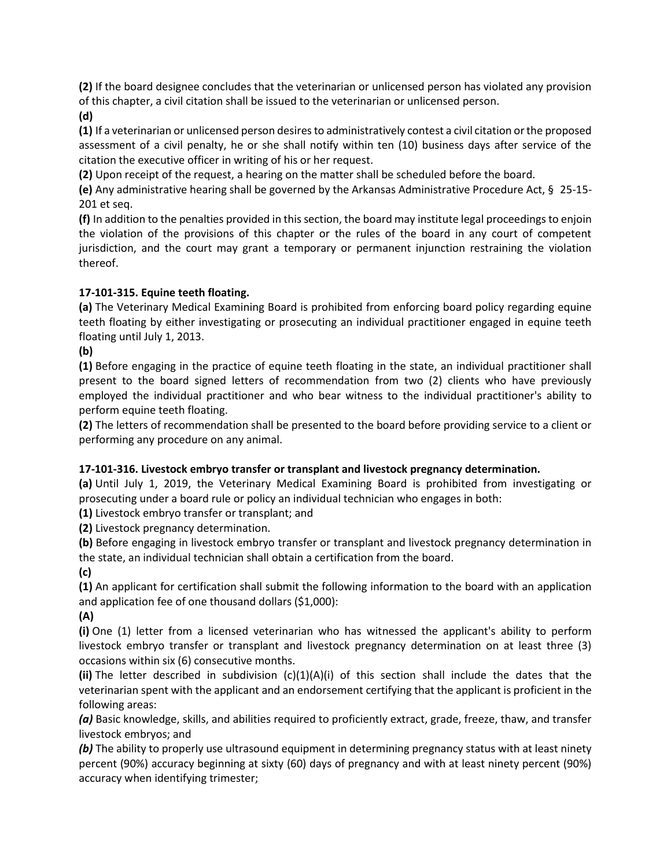**(2)** If the board designee concludes that the veterinarian or unlicensed person has violated any provision of this chapter, a civil citation shall be issued to the veterinarian or unlicensed person.

**(d)**

**(1)** If a veterinarian or unlicensed person desires to administratively contest a civil citation or the proposed assessment of a civil penalty, he or she shall notify within ten (10) business days after service of the citation the executive officer in writing of his or her request.

**(2)** Upon receipt of the request, a hearing on the matter shall be scheduled before the board.

**(e)** Any administrative hearing shall be governed by the Arkansas Administrative Procedure Act, § 25-15- 201 et seq.

**(f)** In addition to the penalties provided in this section, the board may institute legal proceedings to enjoin the violation of the provisions of this chapter or the rules of the board in any court of competent jurisdiction, and the court may grant a temporary or permanent injunction restraining the violation thereof.

## **17-101-315. Equine teeth floating.**

**(a)** The Veterinary Medical Examining Board is prohibited from enforcing board policy regarding equine teeth floating by either investigating or prosecuting an individual practitioner engaged in equine teeth floating until July 1, 2013.

**(b)**

**(1)** Before engaging in the practice of equine teeth floating in the state, an individual practitioner shall present to the board signed letters of recommendation from two (2) clients who have previously employed the individual practitioner and who bear witness to the individual practitioner's ability to perform equine teeth floating.

**(2)** The letters of recommendation shall be presented to the board before providing service to a client or performing any procedure on any animal.

#### **17-101-316. Livestock embryo transfer or transplant and livestock pregnancy determination.**

**(a)** Until July 1, 2019, the Veterinary Medical Examining Board is prohibited from investigating or prosecuting under a board rule or policy an individual technician who engages in both:

**(1)** Livestock embryo transfer or transplant; and

**(2)** Livestock pregnancy determination.

**(b)** Before engaging in livestock embryo transfer or transplant and livestock pregnancy determination in the state, an individual technician shall obtain a certification from the board.

**(c)**

**(1)** An applicant for certification shall submit the following information to the board with an application and application fee of one thousand dollars (\$1,000):

**(A)**

**(i)** One (1) letter from a licensed veterinarian who has witnessed the applicant's ability to perform livestock embryo transfer or transplant and livestock pregnancy determination on at least three (3) occasions within six (6) consecutive months.

**(ii)** The letter described in subdivision (c)(1)(A)(i) of this section shall include the dates that the veterinarian spent with the applicant and an endorsement certifying that the applicant is proficient in the following areas:

*(a)* Basic knowledge, skills, and abilities required to proficiently extract, grade, freeze, thaw, and transfer livestock embryos; and

**(b)** The ability to properly use ultrasound equipment in determining pregnancy status with at least ninety percent (90%) accuracy beginning at sixty (60) days of pregnancy and with at least ninety percent (90%) accuracy when identifying trimester;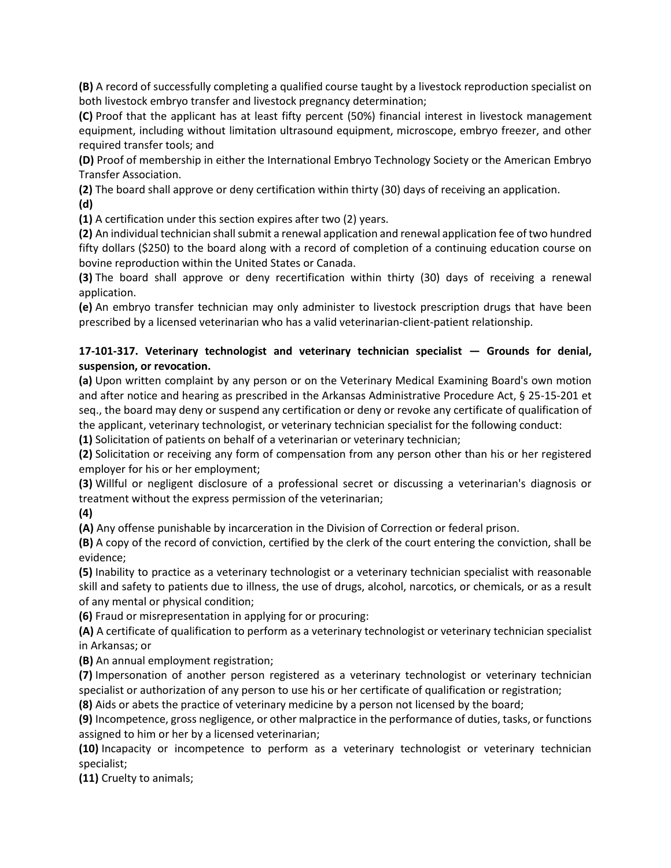**(B)** A record of successfully completing a qualified course taught by a livestock reproduction specialist on both livestock embryo transfer and livestock pregnancy determination;

**(C)** Proof that the applicant has at least fifty percent (50%) financial interest in livestock management equipment, including without limitation ultrasound equipment, microscope, embryo freezer, and other required transfer tools; and

**(D)** Proof of membership in either the International Embryo Technology Society or the American Embryo Transfer Association.

**(2)** The board shall approve or deny certification within thirty (30) days of receiving an application. **(d)**

**(1)** A certification under this section expires after two (2) years.

**(2)** An individual technician shall submit a renewal application and renewal application fee of two hundred fifty dollars (\$250) to the board along with a record of completion of a continuing education course on bovine reproduction within the United States or Canada.

**(3)** The board shall approve or deny recertification within thirty (30) days of receiving a renewal application.

**(e)** An embryo transfer technician may only administer to livestock prescription drugs that have been prescribed by a licensed veterinarian who has a valid veterinarian-client-patient relationship.

# **17-101-317. Veterinary technologist and veterinary technician specialist — Grounds for denial, suspension, or revocation.**

**(a)** Upon written complaint by any person or on the Veterinary Medical Examining Board's own motion and after notice and hearing as prescribed in the Arkansas Administrative Procedure Act, § 25-15-201 et seq., the board may deny or suspend any certification or deny or revoke any certificate of qualification of the applicant, veterinary technologist, or veterinary technician specialist for the following conduct:

**(1)** Solicitation of patients on behalf of a veterinarian or veterinary technician;

**(2)** Solicitation or receiving any form of compensation from any person other than his or her registered employer for his or her employment;

**(3)** Willful or negligent disclosure of a professional secret or discussing a veterinarian's diagnosis or treatment without the express permission of the veterinarian;

**(4)**

**(A)** Any offense punishable by incarceration in the Division of Correction or federal prison.

**(B)** A copy of the record of conviction, certified by the clerk of the court entering the conviction, shall be evidence;

**(5)** Inability to practice as a veterinary technologist or a veterinary technician specialist with reasonable skill and safety to patients due to illness, the use of drugs, alcohol, narcotics, or chemicals, or as a result of any mental or physical condition;

**(6)** Fraud or misrepresentation in applying for or procuring:

**(A)** A certificate of qualification to perform as a veterinary technologist or veterinary technician specialist in Arkansas; or

**(B)** An annual employment registration;

**(7)** Impersonation of another person registered as a veterinary technologist or veterinary technician specialist or authorization of any person to use his or her certificate of qualification or registration;

**(8)** Aids or abets the practice of veterinary medicine by a person not licensed by the board;

**(9)** Incompetence, gross negligence, or other malpractice in the performance of duties, tasks, or functions assigned to him or her by a licensed veterinarian;

**(10)** Incapacity or incompetence to perform as a veterinary technologist or veterinary technician specialist;

**(11)** Cruelty to animals;